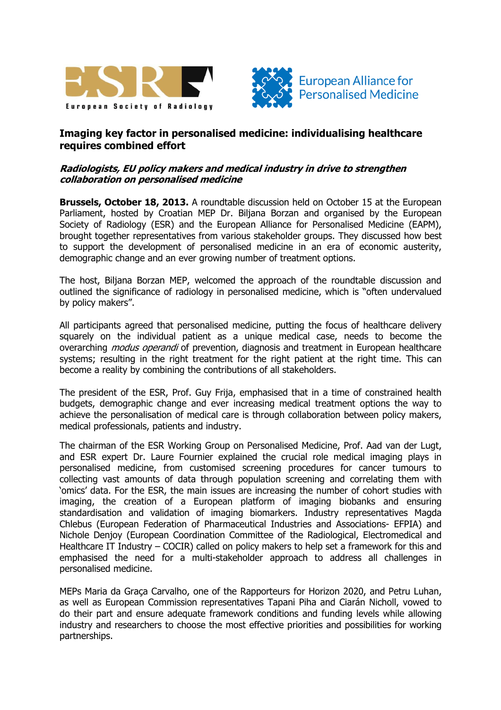



## **Imaging key factor in personalised medicine: individualising healthcare requires combined effort**

## **Radiologists, EU policy makers and medical industry in drive to strengthen collaboration on personalised medicine**

**Brussels, October 18, 2013.** A roundtable discussion held on October 15 at the European Parliament, hosted by Croatian MEP Dr. Biljana Borzan and organised by the European Society of Radiology (ESR) and the European Alliance for Personalised Medicine (EAPM), brought together representatives from various stakeholder groups. They discussed how best to support the development of personalised medicine in an era of economic austerity, demographic change and an ever growing number of treatment options.

The host, Biljana Borzan MEP, welcomed the approach of the roundtable discussion and outlined the significance of radiology in personalised medicine, which is "often undervalued by policy makers".

All participants agreed that personalised medicine, putting the focus of healthcare delivery squarely on the individual patient as a unique medical case, needs to become the overarching *modus operandi* of prevention, diagnosis and treatment in European healthcare systems; resulting in the right treatment for the right patient at the right time. This can become a reality by combining the contributions of all stakeholders.

The president of the ESR, Prof. Guy Frija, emphasised that in a time of constrained health budgets, demographic change and ever increasing medical treatment options the way to achieve the personalisation of medical care is through collaboration between policy makers, medical professionals, patients and industry.

The chairman of the ESR Working Group on Personalised Medicine, Prof. Aad van der Lugt, and ESR expert Dr. Laure Fournier explained the crucial role medical imaging plays in personalised medicine, from customised screening procedures for cancer tumours to collecting vast amounts of data through population screening and correlating them with 'omics' data. For the ESR, the main issues are increasing the number of cohort studies with imaging, the creation of a European platform of imaging biobanks and ensuring standardisation and validation of imaging biomarkers. Industry representatives Magda Chlebus (European Federation of Pharmaceutical Industries and Associations- EFPIA) and Nichole Denjoy (European Coordination Committee of the Radiological, Electromedical and Healthcare IT Industry – COCIR) called on policy makers to help set a framework for this and emphasised the need for a multi-stakeholder approach to address all challenges in personalised medicine.

MEPs Maria da Graça Carvalho, one of the Rapporteurs for Horizon 2020, and Petru Luhan, as well as European Commission representatives Tapani Piha and Ciarán Nicholl, vowed to do their part and ensure adequate framework conditions and funding levels while allowing industry and researchers to choose the most effective priorities and possibilities for working partnerships.